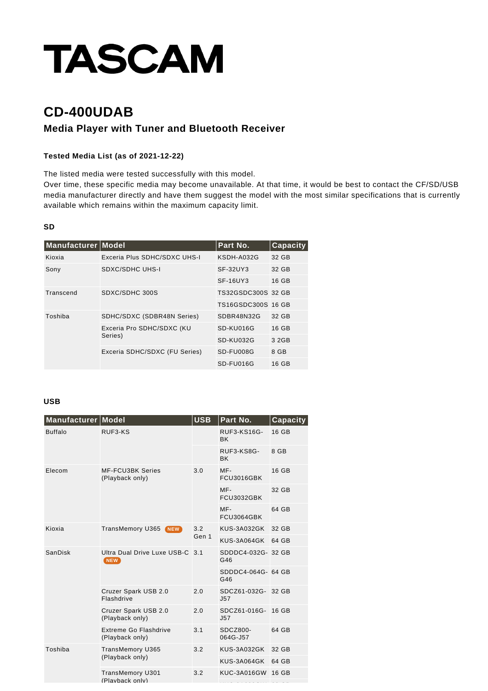# **TASCAM**

## **CD-400UDAB**

### **Media Player with Tuner and Bluetooth Receiver**

#### **Tested Media List (as of 2021-12-22)**

The listed media were tested successfully with this model.

Over time, these specific media may become unavailable. At that time, it would be best to contact the CF/SD/USB media manufacturer directly and have them suggest the model with the most similar specifications that is currently available which remains within the maximum capacity limit.

#### **SD**

| Manufacturer Model |                                      | Part No.           | <b>Capacity</b> |
|--------------------|--------------------------------------|--------------------|-----------------|
| Kioxia             | Exceria Plus SDHC/SDXC UHS-I         | KSDH-A032G         | 32 GB           |
| Sony               | SDXC/SDHC UHS-I                      | SF-32UY3           | 32 GB           |
|                    |                                      | SF-16UY3           | 16 GB           |
| Transcend          | SDXC/SDHC 300S                       | TS32GSDC300S 32 GB |                 |
|                    |                                      | TS16GSDC300S 16 GB |                 |
| Toshiba            | SDHC/SDXC (SDBR48N Series)           | SDBR48N32G         | 32 GB           |
|                    | Exceria Pro SDHC/SDXC (KU<br>Series) | SD-KU016G          | 16 GB           |
|                    |                                      | SD-KU032G          | 3 2 G B         |
|                    | Exceria SDHC/SDXC (FU Series)        | SD-FU008G          | 8 GB            |
|                    |                                      | SD-FU016G          | 16 GB           |

#### **USB**

| Manufacturer   | <b>Model</b>                                    | <b>USB</b>   | Part No.                         | Capacity |
|----------------|-------------------------------------------------|--------------|----------------------------------|----------|
| <b>Buffalo</b> | RUF3-KS                                         |              | <b>RUF3-KS16G-</b><br><b>BK</b>  | 16 GB    |
|                |                                                 |              | RUF3-KS8G-<br><b>BK</b>          | 8 GB     |
| Elecom         | <b>MF-FCU3BK Series</b><br>(Playback only)      | 3.0          | MF-<br>FCU3016GBK                | 16 GB    |
|                |                                                 |              | MF-<br>FCU3032GBK                | 32 GB    |
|                |                                                 |              | MF-<br>FCU3064GBK                | 64 GB    |
| Kioxia         | <b>TransMemory U365 NEW</b>                     | 3.2<br>Gen 1 | KUS-3A032GK                      | 32 GB    |
|                |                                                 |              | KUS-3A064GK                      | 64 GB    |
| SanDisk        | Ultra Dual Drive Luxe USB-C 3.1<br><b>NEW</b>   |              | SDDDC4-032G- 32 GB<br>G46        |          |
|                |                                                 |              | SDDDC4-064G- 64 GB<br>G46        |          |
|                | Cruzer Spark USB 2.0<br>Flashdrive              | 2.0          | SDCZ61-032G- 32 GB<br>J57        |          |
|                | Cruzer Spark USB 2.0<br>(Playback only)         | 2.0          | SDCZ61-016G- 16 GB<br><b>J57</b> |          |
|                | <b>Extreme Go Flashdrive</b><br>(Playback only) | 3.1          | SDCZ800-<br>064G-J57             | 64 GB    |
| Toshiba        | TransMemory U365<br>(Playback only)             | 3.2          | KUS-3A032GK                      | 32 GB    |
|                |                                                 |              | KUS-3A064GK                      | 64 GB    |
|                | TransMemory U301<br>(Playback only)             | 3.2          | KUC-3A016GW                      | 16 GB    |